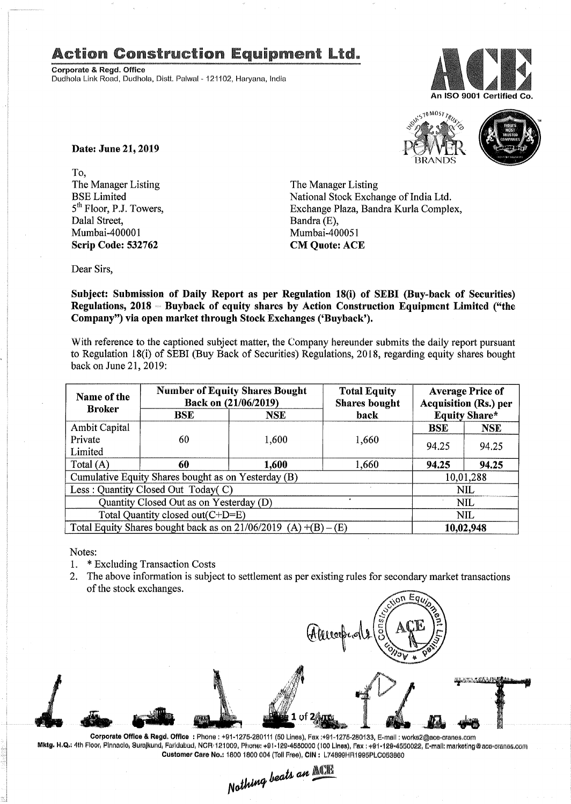## **Action Construction Equipment Ltd.**

Corporate 8. Regd. Office Dudhola Link Road, Dudhola, Dlstt, Palwal- 121102, Haryana, India





Date: June 21, 2019

To, The Manager Listing BSE Limited 5<sup>th</sup> Floor, P.J. Towers, Dalal Street, Mumbai-400001 Scrip Code: 532762

The Manager Listing National Stock Exchange of India Ltd. Exchange Plaza, Bandra Kurla Complex, Bandra (E), Mumbai-400051 CM Quote: ACE

Dear Sirs,

Subject: Submission of Daily Report as per Regulation 18(i) of SEBI (Buy-back of Securities) Regulations,  $2018$  – Buyback of equity shares by Action Construction Equipment Limited ("the Company") via open market through Stock Exchanges ('Buyback').

With reference to the captioned subject matter, the Company hereunder submits the daily report pursuant to Regulation 18(i) of SEBI (Buy Back of Securities) Regulations, 2018, regarding equity shares bought back on June 21,2019:

| Name of the<br><b>Broker</b>                                      | <b>Number of Equity Shares Bought</b><br>Back on (21/06/2019) |            | <b>Total Equity</b><br><b>Shares bought</b> | <b>Average Price of</b><br><b>Acquisition (Rs.) per</b> |            |  |
|-------------------------------------------------------------------|---------------------------------------------------------------|------------|---------------------------------------------|---------------------------------------------------------|------------|--|
|                                                                   | BSE                                                           | <b>NSE</b> | back                                        | <b>Equity Share*</b>                                    |            |  |
| <b>Ambit Capital</b>                                              |                                                               |            | 1,660                                       | <b>BSE</b>                                              | <b>NSE</b> |  |
| Private                                                           | 60                                                            | 1,600      |                                             | 94.25                                                   | 94.25      |  |
| Limited                                                           |                                                               |            |                                             |                                                         |            |  |
| Total (A)                                                         | 60                                                            | 1,600      | 1,660                                       | 94.25                                                   | 94.25      |  |
| Cumulative Equity Shares bought as on Yesterday (B)               |                                                               |            |                                             | 10,01,288                                               |            |  |
| Less: Quantity Closed Out Today(C)                                |                                                               |            |                                             | <b>NIL</b>                                              |            |  |
| $\bullet$<br>Quantity Closed Out as on Yesterday (D)              |                                                               |            |                                             | <b>NIL</b>                                              |            |  |
| Total Quantity closed out(C+D=E)                                  |                                                               |            |                                             |                                                         | <b>NIL</b> |  |
| Total Equity Shares bought back as on $21/06/2019$ (A) +(B) – (E) |                                                               |            |                                             | 10,02,948                                               |            |  |

Notes:

- 1. \* Excluding Transaction Costs
- 2. The above information is subject to settlement as per existing rules for secondary market transactions of the stock exchanges.



Corporate Office & Regd. Office: Phone: +91·1275·280111 (50 Lines). Pax :+91·1216-280133. E-mail: works2@ace·cranes.com Mktg. H.Q.; 4th Floor, Pinnaolo, Surajkund, Faridabad, NCR-121000, Phone: +91-129-4550000 (100 Lines), Fax : +91-129-4550022, E-mail: marketlng@ace-cranes.com Customer Care No.: 1800 1800 004 (Toll Free), CIN: L74899HR1995PLC053860

 $_{heat}$  an *N~*